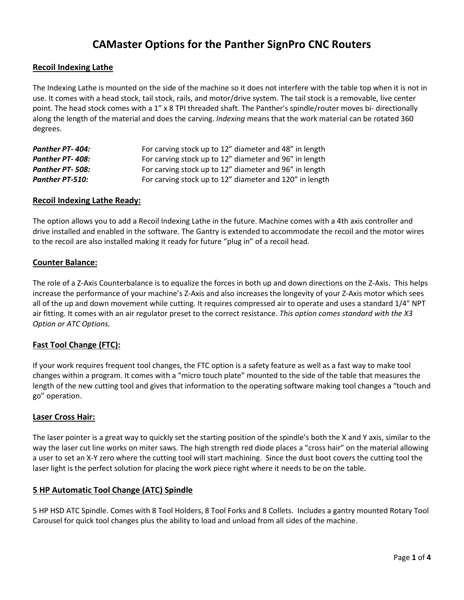# **CAMaster Options for the Panther SignPro CNC Routers**

# **Recoil Indexing Lathe**

The Indexing Lathe is mounted on the side of the machine so it does not interfere with the table top when it is not in use. It comes with a head stock, tail stock, rails, and motor/drive system. The tail stock is a removable, live center point. The head stock comes with a 1" x 8 TPI threaded shaft. The Panther's spindle/router moves bi- directionally along the length of the material and does the carving. *Indexing* means that the work material can be rotated 360 degrees.

| <b>Panther PT-404:</b> | For carving stock up to 12" diameter and 48" in length  |
|------------------------|---------------------------------------------------------|
| Panther PT-408:        | For carving stock up to 12" diameter and 96" in length  |
| Panther PT-508:        | For carving stock up to 12" diameter and 96" in length  |
| <b>Panther PT-510:</b> | For carving stock up to 12" diameter and 120" in length |

#### **Recoil Indexing Lathe Ready:**

The option allows you to add a Recoil Indexing Lathe in the future. Machine comes with a 4th axis controller and drive installed and enabled in the software. The Gantry is extended to accommodate the recoil and the motor wires to the recoil are also installed making it ready for future "plug in" of a recoil head.

# **Counter Balance:**

The role of a Z-Axis Counterbalance is to equalize the forces in both up and down directions on the Z-Axis. This helps increase the performance of your machine's Z-Axis and also increases the longevity of your Z-Axis motor which sees all of the up and down movement while cutting. It requires compressed air to operate and uses a standard 1/4" NPT air fitting. It comes with an air regulator preset to the correct resistance. *This option comes standard with the X3 Option or ATC Options.*

# **Fast Tool Change (FTC):**

If your work requires frequent tool changes, the FTC option is a safety feature as well as a fast way to make tool changes within a program. It comes with a "micro touch plate" mounted to the side of the table that measures the length of the new cutting tool and gives that information to the operating software making tool changes a "touch and go" operation.

#### **Laser Cross Hair:**

The laser pointer is a great way to quickly set the starting position of the spindle's both the X and Y axis, similar to the way the laser cut line works on miter saws. The high strength red diode places a "cross hair" on the material allowing a user to set an X-Y zero where the cutting tool will start machining. Since the dust boot covers the cutting tool the laser light is the perfect solution for placing the work piece right where it needs to be on the table.

# **5 HP Automatic Tool Change (ATC) Spindle**

5 HP HSD ATC Spindle. Comes with 8 Tool Holders, 8 Tool Forks and 8 Collets. Includes a gantry mounted Rotary Tool Carousel for quick tool changes plus the ability to load and unload from all sides of the machine.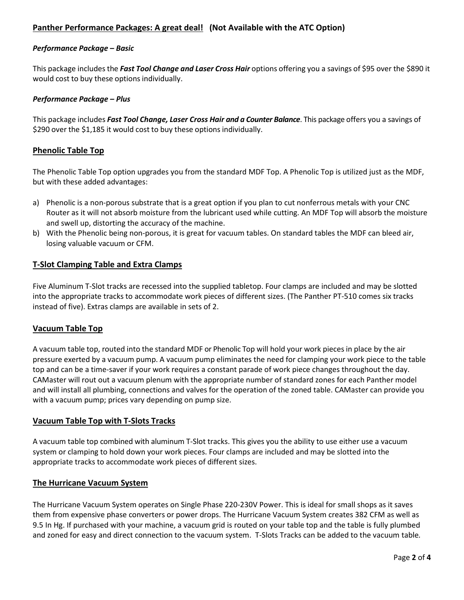# **Panther Performance Packages: A great deal! (Not Available with the ATC Option)**

#### *Performance Package – Basic*

This package includes the *Fast Tool Change and Laser Cross Hair* options offering you a savings of \$95 over the \$890 it would cost to buy these options individually.

#### *Performance Package – Plus*

This package includes *Fast Tool Change, Laser Cross Hair and a Counter Balance*. This package offers you a savings of \$290 over the \$1,185 it would cost to buy these options individually.

#### **Phenolic Table Top**

The Phenolic Table Top option upgrades you from the standard MDF Top. A Phenolic Top is utilized just as the MDF, but with these added advantages:

- a) Phenolic is a non-porous substrate that is a great option if you plan to cut nonferrous metals with your CNC Router as it will not absorb moisture from the lubricant used while cutting. An MDF Top will absorb the moisture and swell up, distorting the accuracy of the machine.
- b) With the Phenolic being non-porous, it is great for vacuum tables. On standard tables the MDF can bleed air, losing valuable vacuum or CFM.

#### **T‐Slot Clamping Table and Extra Clamps**

Five Aluminum T-Slot tracks are recessed into the supplied tabletop. Four clamps are included and may be slotted into the appropriate tracks to accommodate work pieces of different sizes. (The Panther PT-510 comes six tracks instead of five). Extras clamps are available in sets of 2.

#### **Vacuum Table Top**

A vacuum table top, routed into the standard MDF or Phenolic Top will hold your work pieces in place by the air pressure exerted by a vacuum pump. A vacuum pump eliminates the need for clamping your work piece to the table top and can be a time‐saver if your work requires a constant parade of work piece changes throughout the day. CAMaster will rout out a vacuum plenum with the appropriate number of standard zones for each Panther model and will install all plumbing, connections and valves for the operation of the zoned table. CAMaster can provide you with a vacuum pump; prices vary depending on pump size.

#### **Vacuum Table Top with T-Slots Tracks**

A vacuum table top combined with aluminum T‐Slot tracks. This gives you the ability to use either use a vacuum system or clamping to hold down your work pieces. Four clamps are included and may be slotted into the appropriate tracks to accommodate work pieces of different sizes.

#### **The Hurricane Vacuum System**

The Hurricane Vacuum System operates on Single Phase 220-230V Power. This is ideal for small shops as it saves them from expensive phase converters or power drops. The Hurricane Vacuum System creates 382 CFM as well as 9.5 In Hg. If purchased with your machine, a vacuum grid is routed on your table top and the table is fully plumbed and zoned for easy and direct connection to the vacuum system. T-Slots Tracks can be added to the vacuum table*.*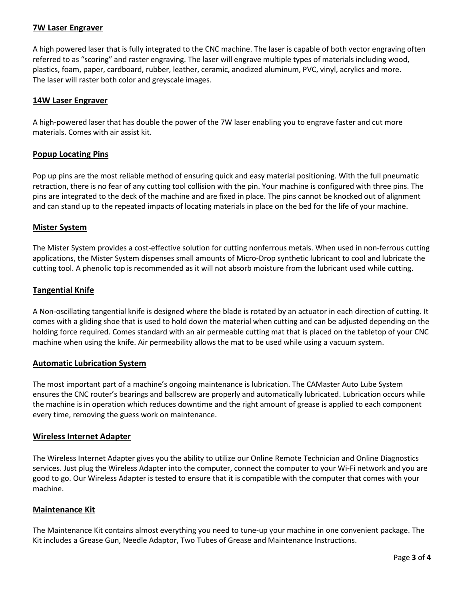# **7W Laser Engraver**

A high powered laser that is fully integrated to the CNC machine. The laser is capable of both vector engraving often referred to as "scoring" and raster engraving. The laser will engrave multiple types of materials including wood, plastics, foam, paper, cardboard, rubber, leather, ceramic, anodized aluminum, PVC, vinyl, acrylics and more. The laser will raster both color and greyscale images.

# **14W Laser Engraver**

A high-powered laser that has double the power of the 7W laser enabling you to engrave faster and cut more materials. Comes with air assist kit.

# **Popup Locating Pins**

Pop up pins are the most reliable method of ensuring quick and easy material positioning. With the full pneumatic retraction, there is no fear of any cutting tool collision with the pin. Your machine is configured with three pins. The pins are integrated to the deck of the machine and are fixed in place. The pins cannot be knocked out of alignment and can stand up to the repeated impacts of locating materials in place on the bed for the life of your machine.

# **Mister System**

The Mister System provides a cost-effective solution for cutting nonferrous metals. When used in non-ferrous cutting applications, the Mister System dispenses small amounts of Micro-Drop synthetic lubricant to cool and lubricate the cutting tool. A phenolic top is recommended as it will not absorb moisture from the lubricant used while cutting.

# **Tangential Knife**

A Non-oscillating tangential knife is designed where the blade is rotated by an actuator in each direction of cutting. It comes with a gliding shoe that is used to hold down the material when cutting and can be adjusted depending on the holding force required. Comes standard with an air permeable cutting mat that is placed on the tabletop of your CNC machine when using the knife. Air permeability allows the mat to be used while using a vacuum system.

# **Automatic Lubrication System**

The most important part of a machine's ongoing maintenance is lubrication. The CAMaster Auto Lube System ensures the CNC router's bearings and ballscrew are properly and automatically lubricated. Lubrication occurs while the machine is in operation which reduces downtime and the right amount of grease is applied to each component every time, removing the guess work on maintenance.

# **Wireless Internet Adapter**

The Wireless Internet Adapter gives you the ability to utilize our Online Remote Technician and Online Diagnostics services. Just plug the Wireless Adapter into the computer, connect the computer to your Wi-Fi network and you are good to go. Our Wireless Adapter is tested to ensure that it is compatible with the computer that comes with your machine.

# **Maintenance Kit**

The Maintenance Kit contains almost everything you need to tune-up your machine in one convenient package. The Kit includes a Grease Gun, Needle Adaptor, Two Tubes of Grease and Maintenance Instructions.